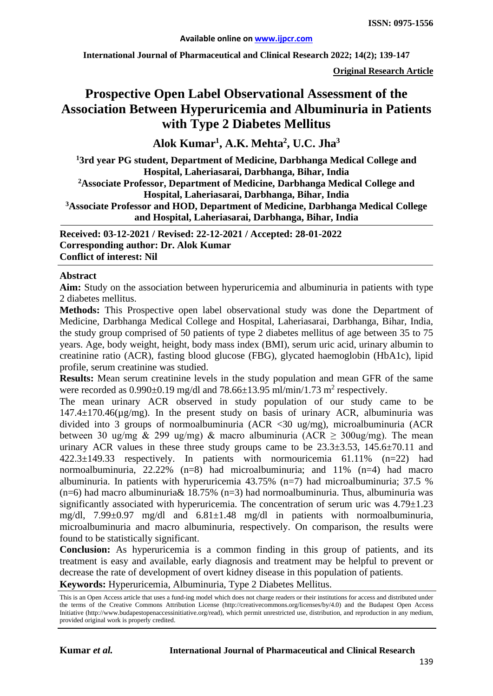**International Journal of Pharmaceutical and Clinical Research 2022; 14(2); 139-147**

**Original Research Article**

# **Prospective Open Label Observational Assessment of the Association Between Hyperuricemia and Albuminuria in Patients with Type 2 Diabetes Mellitus**

**Alok Kumar1 , A.K. Mehta2 , U.C. Jha3**

**1 3rd year PG student, Department of Medicine, Darbhanga Medical College and Hospital, Laheriasarai, Darbhanga, Bihar, India 2Associate Professor, Department of Medicine, Darbhanga Medical College and Hospital, Laheriasarai, Darbhanga, Bihar, India 3Associate Professor and HOD, Department of Medicine, Darbhanga Medical College and Hospital, Laheriasarai, Darbhanga, Bihar, India**

**Received: 03-12-2021 / Revised: 22-12-2021 / Accepted: 28-01-2022 Corresponding author: Dr. Alok Kumar Conflict of interest: Nil**

#### **Abstract**

**Aim:** Study on the association between hyperuricemia and albuminuria in patients with type 2 diabetes mellitus.

**Methods:** This Prospective open label observational study was done the Department of Medicine, Darbhanga Medical College and Hospital, Laheriasarai, Darbhanga, Bihar, India, the study group comprised of 50 patients of type 2 diabetes mellitus of age between 35 to 75 years. Age, body weight, height, body mass index (BMI), serum uric acid, urinary albumin to creatinine ratio (ACR), fasting blood glucose (FBG), glycated haemoglobin (HbA1c), lipid profile, serum creatinine was studied.

**Results:** Mean serum creatinine levels in the study population and mean GFR of the same were recorded as  $0.990\pm0.19$  mg/dl and  $78.66\pm13.95$  ml/min/1.73 m<sup>2</sup> respectively.

The mean urinary ACR observed in study population of our study came to be  $147.4 \pm 170.46 \text{(µg/mg)}$ . In the present study on basis of urinary ACR, albuminuria was divided into 3 groups of normoalbuminuria (ACR <30 ug/mg), microalbuminuria (ACR between 30 ug/mg & 299 ug/mg) & macro albuminuria (ACR  $\geq$  300ug/mg). The mean urinary ACR values in these three study groups came to be  $23.3\pm3.53$ ,  $145.6\pm70.11$  and 422.3±149.33 respectively. In patients with normouricemia 61.11% (n=22) had normoalbuminuria, 22.22% (n=8) had microalbuminuria; and 11% (n=4) had macro albuminuria. In patients with hyperuricemia 43.75% (n=7) had microalbuminuria; 37.5 % (n=6) had macro albuminuria  $\&$  18.75% (n=3) had normoalbuminuria. Thus, albuminuria was significantly associated with hyperuricemia. The concentration of serum uric was  $4.79\pm1.23$ mg/dl, 7.99±0.97 mg/dl and 6.81±1.48 mg/dl in patients with normoalbuminuria, microalbuminuria and macro albuminuria, respectively. On comparison, the results were found to be statistically significant.

**Conclusion:** As hyperuricemia is a common finding in this group of patients, and its treatment is easy and available, early diagnosis and treatment may be helpful to prevent or decrease the rate of development of overt kidney disease in this population of patients.

**Keywords:** Hyperuricemia, Albuminuria, Type 2 Diabetes Mellitus.

This is an Open Access article that uses a fund-ing model which does not charge readers or their institutions for access and distributed under the terms of the Creative Commons Attribution License (http://creativecommons.org/licenses/by/4.0) and the Budapest Open Access Initiative (http://www.budapestopenaccessinitiative.org/read), which permit unrestricted use, distribution, and reproduction in any medium, provided original work is properly credited.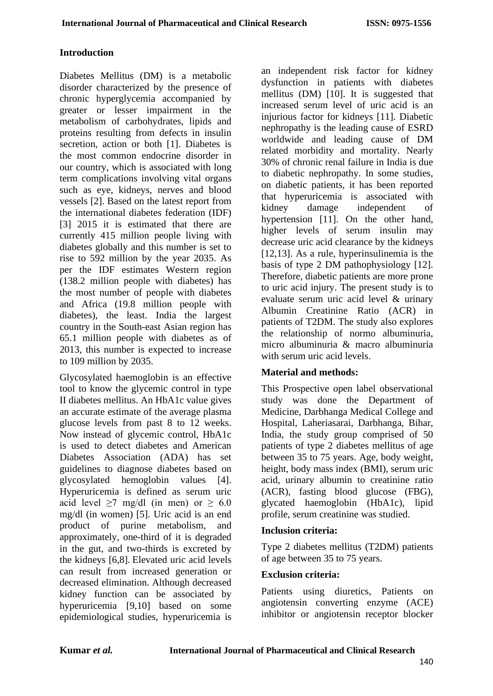#### **Introduction**

Diabetes Mellitus (DM) is a metabolic disorder characterized by the presence of chronic hyperglycemia accompanied by greater or lesser impairment in the metabolism of carbohydrates, lipids and proteins resulting from defects in insulin secretion, action or both [1]. Diabetes is the most common endocrine disorder in our country, which is associated with long term complications involving vital organs such as eye, kidneys, nerves and blood vessels [2]. Based on the latest report from the international diabetes federation (IDF) [3] 2015 it is estimated that there are currently 415 million people living with diabetes globally and this number is set to rise to 592 million by the year 2035. As per the IDF estimates Western region (138.2 million people with diabetes) has the most number of people with diabetes and Africa (19.8 million people with diabetes), the least. India the largest country in the South-east Asian region has 65.1 million people with diabetes as of 2013, this number is expected to increase to 109 million by 2035.

Glycosylated haemoglobin is an effective tool to know the glycemic control in type II diabetes mellitus. An HbA1c value gives an accurate estimate of the average plasma glucose levels from past 8 to 12 weeks. Now instead of glycemic control, HbA1c is used to detect diabetes and American Diabetes Association (ADA) has set guidelines to diagnose diabetes based on glycosylated hemoglobin values [4]. Hyperuricemia is defined as serum uric acid level  $\ge 7$  mg/dl (in men) or  $\ge 6.0$ mg/dl (in women) [5]. Uric acid is an end product of purine metabolism, and approximately, one-third of it is degraded in the gut, and two-thirds is excreted by the kidneys [6,8]. Elevated uric acid levels can result from increased generation or decreased elimination. Although decreased kidney function can be associated by hyperuricemia [9,10] based on some epidemiological studies, hyperuricemia is

an independent risk factor for kidney dysfunction in patients with diabetes mellitus (DM) [10]. It is suggested that increased serum level of uric acid is an injurious factor for kidneys [11]. Diabetic nephropathy is the leading cause of ESRD worldwide and leading cause of DM related morbidity and mortality. Nearly 30% of chronic renal failure in India is due to diabetic nephropathy. In some studies, on diabetic patients, it has been reported that hyperuricemia is associated with kidney damage independent of hypertension [11]. On the other hand, higher levels of serum insulin may decrease uric acid clearance by the kidneys [12,13]. As a rule, hyperinsulinemia is the basis of type 2 DM pathophysiology [12]. Therefore, diabetic patients are more prone to uric acid injury. The present study is to evaluate serum uric acid level & urinary Albumin Creatinine Ratio (ACR) in patients of T2DM. The study also explores the relationship of normo albuminuria, micro albuminuria & macro albuminuria with serum uric acid levels.

#### **Material and methods:**

This Prospective open label observational study was done the Department of Medicine, Darbhanga Medical College and Hospital, Laheriasarai, Darbhanga, Bihar, India, the study group comprised of 50 patients of type 2 diabetes mellitus of age between 35 to 75 years. Age, body weight, height, body mass index (BMI), serum uric acid, urinary albumin to creatinine ratio (ACR), fasting blood glucose (FBG), glycated haemoglobin (HbA1c), lipid profile, serum creatinine was studied.

#### **Inclusion criteria:**

Type 2 diabetes mellitus (T2DM) patients of age between 35 to 75 years.

#### **Exclusion criteria:**

Patients using diuretics, Patients on angiotensin converting enzyme (ACE) inhibitor or angiotensin receptor blocker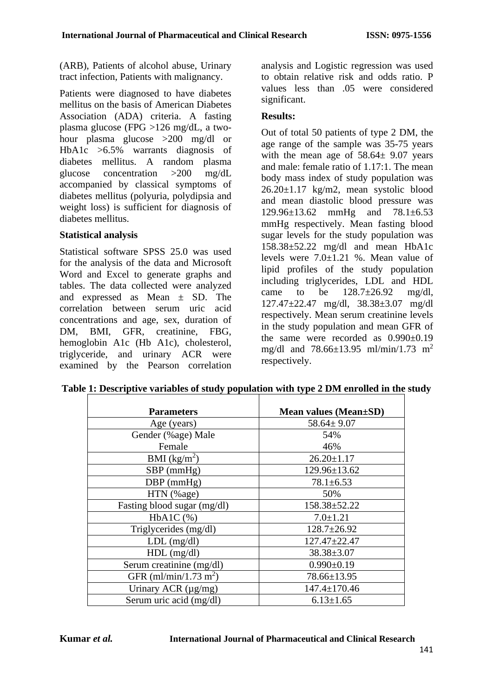(ARB), Patients of alcohol abuse, Urinary tract infection, Patients with malignancy.

Patients were diagnosed to have diabetes mellitus on the basis of American Diabetes Association (ADA) criteria. A fasting plasma glucose (FPG >126 mg/dL, a twohour plasma glucose >200 mg/dl or HbA1c >6.5% warrants diagnosis of diabetes mellitus. A random plasma glucose concentration >200 mg/dL accompanied by classical symptoms of diabetes mellitus (polyuria, polydipsia and weight loss) is sufficient for diagnosis of diabetes mellitus.

### **Statistical analysis**

Statistical software SPSS 25.0 was used for the analysis of the data and Microsoft Word and Excel to generate graphs and tables. The data collected were analyzed and expressed as Mean ± SD. The correlation between serum uric acid concentrations and age, sex, duration of DM, BMI, GFR, creatinine, FBG, hemoglobin A1c (Hb A1c), cholesterol, triglyceride, and urinary ACR were examined by the Pearson correlation analysis and Logistic regression was used to obtain relative risk and odds ratio. P values less than .05 were considered significant.

## **Results:**

Out of total 50 patients of type 2 DM, the age range of the sample was 35-75 years with the mean age of  $58.64 \pm 9.07$  years and male: female ratio of 1.17:1. The mean body mass index of study population was 26.20±1.17 kg/m2, mean systolic blood and mean diastolic blood pressure was 129.96±13.62 mmHg and 78.1±6.53 mmHg respectively. Mean fasting blood sugar levels for the study population was 158.38±52.22 mg/dl and mean HbA1c levels were  $7.0 \pm 1.21$  %. Mean value of lipid profiles of the study population including triglycerides, LDL and HDL came to be  $128.7 \pm 26.92$  mg/dl, 127.47±22.47 mg/dl, 38.38±3.07 mg/dl respectively. Mean serum creatinine levels in the study population and mean GFR of the same were recorded as  $0.990\pm0.19$ mg/dl and  $78.66 \pm 13.95$  ml/min/1.73 m<sup>2</sup> respectively.

| <b>Parameters</b>                                | Mean values (Mean±SD) |  |  |
|--------------------------------------------------|-----------------------|--|--|
| Age (years)                                      | $58.64 \pm 9.07$      |  |  |
| Gender (%age) Male                               | 54%                   |  |  |
| Female                                           | 46%                   |  |  |
| BMI $(kg/m2)$                                    | $26.20 \pm 1.17$      |  |  |
| $SBP$ (mmHg)                                     | 129.96±13.62          |  |  |
| $DBP$ (mmHg)                                     | $78.1 \pm 6.53$       |  |  |
| HTN (%age)                                       | 50%                   |  |  |
| Fasting blood sugar (mg/dl)                      | 158.38±52.22          |  |  |
| $HbA1C$ $(\% )$                                  | $7.0 \pm 1.21$        |  |  |
| Triglycerides (mg/dl)                            | $128.7 \pm 26.92$     |  |  |
| $LDL$ (mg/dl)                                    | $127.47 \pm 22.47$    |  |  |
| $HDL$ (mg/dl)                                    | $38.38 \pm 3.07$      |  |  |
| Serum creatinine (mg/dl)                         | $0.990 \pm 0.19$      |  |  |
| GFR (ml/min/1.73 m <sup>2</sup> )<br>78.66±13.95 |                       |  |  |
| Urinary ACR $(\mu g/mg)$                         | 147.4±170.46          |  |  |
| Serum uric acid (mg/dl)                          | $6.13 \pm 1.65$       |  |  |

**Table 1: Descriptive variables of study population with type 2 DM enrolled in the study**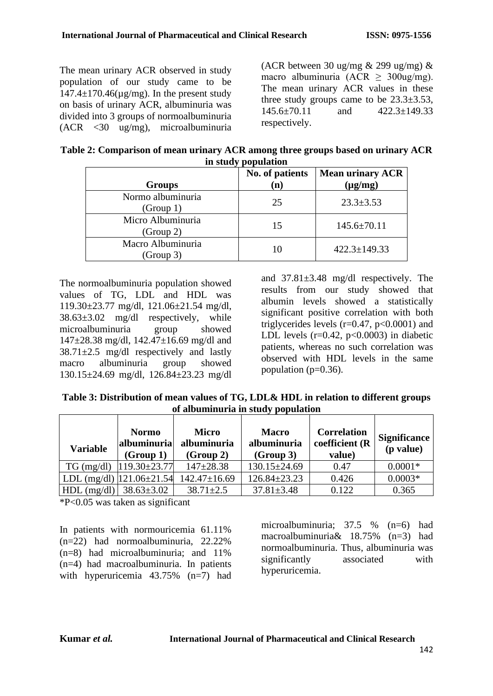The mean urinary ACR observed in study population of our study came to be  $147.4 \pm 170.46 \text{(µg/mg)}$ . In the present study on basis of urinary ACR, albuminuria was divided into 3 groups of normoalbuminuria (ACR <30 ug/mg), microalbuminuria (ACR between 30 ug/mg  $\&$  299 ug/mg)  $\&$ macro albuminuria (ACR  $\geq$  300ug/mg). The mean urinary ACR values in these three study groups came to be  $23.3 \pm 3.53$ , 145.6±70.11 and 422.3±149.33 respectively.

| Table 2: Comparison of mean urinary ACR among three groups based on urinary ACR |  |
|---------------------------------------------------------------------------------|--|
| in study population                                                             |  |

|                                | No. of patients | <b>Mean urinary ACR</b> |
|--------------------------------|-----------------|-------------------------|
| <b>Groups</b>                  | $\bf(n)$        | $(\mu g/mg)$            |
| Normo albuminuria<br>(Group 1) | 25              | $23.3 \pm 3.53$         |
| Micro Albuminuria<br>(Group 2) | 15              | $145.6 \pm 70.11$       |
| Macro Albuminuria<br>(Group 3) | 10              | $422.3 \pm 149.33$      |

The normoalbuminuria population showed values of TG, LDL and HDL was 119.30±23.77 mg/dl, 121.06±21.54 mg/dl, 38.63±3.02 mg/dl respectively, while microalbuminuria group showed  $147\pm28.38$  mg/dl,  $142.47\pm16.69$  mg/dl and  $38.71 \pm 2.5$  mg/dl respectively and lastly macro albuminuria group showed 130.15±24.69 mg/dl, 126.84±23.23 mg/dl

and 37.81±3.48 mg/dl respectively. The results from our study showed that albumin levels showed a statistically significant positive correlation with both triglycerides levels  $(r=0.47, p<0.0001)$  and LDL levels  $(r=0.42, p<0.0003)$  in diabetic patients, whereas no such correlation was observed with HDL levels in the same population ( $p=0.36$ ).

**Table 3: Distribution of mean values of TG, LDL& HDL in relation to different groups of albuminuria in study population**

| <b>Variable</b> | <b>Normo</b><br>albuminuria<br>(Group 1) | <b>Micro</b><br>albuminuria<br>(Group 2) | <b>Macro</b><br>albuminuria<br>(Group 3) | <b>Correlation</b><br>coefficient (R<br>value) | <b>Significance</b><br>(p value) |
|-----------------|------------------------------------------|------------------------------------------|------------------------------------------|------------------------------------------------|----------------------------------|
| $TG \, (mg/dl)$ | $119.30\pm 23.77$                        | $147 + 28.38$                            | $130.15 \pm 24.69$                       | 0.47                                           | $0.0001*$                        |
|                 | LDL (mg/dl) $ 121.06\pm21.54 $           | $142.47 \pm 16.69$                       | $126.84 \pm 23.23$                       | 0.426                                          | $0.0003*$                        |
| $HDL$ (mg/dl)   | $38.63 \pm 3.02$                         | $38.71 \pm 2.5$                          | $37.81 \pm 3.48$                         | 0.122                                          | 0.365                            |

\*P<0.05 was taken as significant

In patients with normouricemia 61.11% (n=22) had normoalbuminuria, 22.22% (n=8) had microalbuminuria; and 11% (n=4) had macroalbuminuria. In patients with hyperuricemia 43.75% (n=7) had

microalbuminuria; 37.5 % (n=6) had macroalbuminuria& 18.75% (n=3) had normoalbuminuria. Thus, albuminuria was significantly associated with hyperuricemia.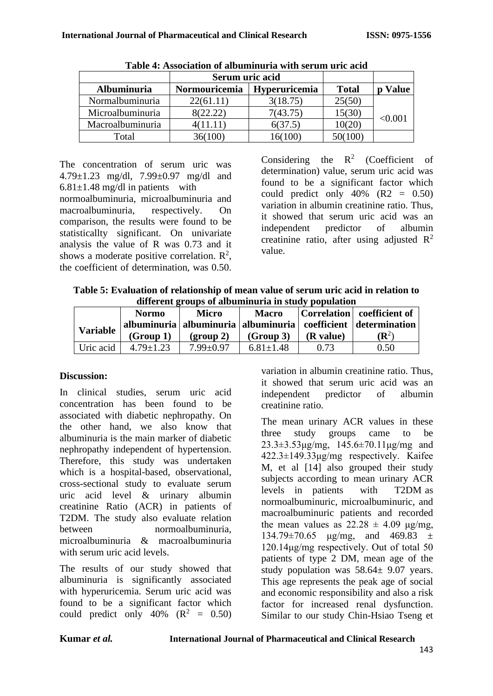|                  | Serum uric acid |                      |              |              |
|------------------|-----------------|----------------------|--------------|--------------|
| Albuminuria      | Normouricemia   | <b>Hyperuricemia</b> | <b>Total</b> | <b>Value</b> |
| Normalbuminuria  | 22(61.11)       | 3(18.75)             | 25(50)       |              |
| Microalbuminuria | 8(22.22)        | 7(43.75)             | 15(30)       | < 0.001      |
| Macroalbuminuria | 4(11.11)        | 6(37.5)              | 10(20)       |              |
| Total            | 36(100)         | 16(100)              | 50(100)      |              |

The concentration of serum uric was 4.79±1.23 mg/dl, 7.99±0.97 mg/dl and  $6.81 \pm 1.48$  mg/dl in patients with

normoalbuminuria, microalbuminuria and macroalbuminuria, respectively. On comparison, the results were found to be statisticallty significant. On univariate analysis the value of R was 0.73 and it shows a moderate positive correlation.  $\mathbb{R}^2$ , the coefficient of determination, was 0.50. Considering the  $R^2$  (Coefficient of determination) value, serum uric acid was found to be a significant factor which could predict only  $40\%$  (R2 = 0.50) variation in albumin creatinine ratio. Thus, it showed that serum uric acid was an independent predictor of albumin creatinine ratio, after using adjusted  $\mathbb{R}^2$ value.

| Table 5: Evaluation of relationship of mean value of serum uric acid in relation to |
|-------------------------------------------------------------------------------------|
| different groups of albuminuria in study population                                 |

|                 | <b>Normo</b>    | <b>Micro</b>                                           | <b>Macro</b>    |                   | Correlation   coefficient of                                                              |
|-----------------|-----------------|--------------------------------------------------------|-----------------|-------------------|-------------------------------------------------------------------------------------------|
| <b>Variable</b> | (Group 1)       | $\left( \frac{\text{group }2}{\text{group }}2 \right)$ | (Group 3)       | ( <b>R</b> value) | albuminuria   albuminuria   albuminuria   coefficient   determination<br>$(\mathbb{R}^2)$ |
| Uric acid       | $4.79 \pm 1.23$ | $7.99 \pm 0.97$                                        | $6.81 \pm 1.48$ | 0.73              | 0.50                                                                                      |

# **Discussion:**

In clinical studies, serum uric acid concentration has been found to be associated with diabetic nephropathy. On the other hand, we also know that albuminuria is the main marker of diabetic nephropathy independent of hypertension. Therefore, this study was undertaken which is a hospital-based, observational, cross-sectional study to evaluate serum uric acid level & urinary albumin creatinine Ratio (ACR) in patients of T2DM. The study also evaluate relation between normoalbuminuria, microalbuminuria & macroalbuminuria with serum uric acid levels.

The results of our study showed that albuminuria is significantly associated with hyperuricemia. Serum uric acid was found to be a significant factor which could predict only  $40\%$  ( $\mathbb{R}^2 = 0.50$ ) variation in albumin creatinine ratio. Thus, it showed that serum uric acid was an independent predictor of albumin creatinine ratio.

The mean urinary ACR values in these three study groups came to be  $23.3\pm3.53\,\mu\text{g/mg}$ ,  $145.6\pm70.11\,\mu\text{g/mg}$  and 422.3±149.33μg/mg respectively. Kaifee M, et al [14] also grouped their study subjects according to mean urinary ACR levels in patients with T2DM as normoalbuminuric, microalbuminuric, and macroalbuminuric patients and recorded the mean values as  $22.28 \pm 4.09$  μg/mg,  $134.79 \pm 70.65$   $\mu$ g/mg, and 469.83  $\pm$ 120.14μg/mg respectively. Out of total 50 patients of type 2 DM, mean age of the study population was  $58.64 \pm 9.07$  years. This age represents the peak age of social and economic responsibility and also a risk factor for increased renal dysfunction. Similar to our study Chin-Hsiao Tseng et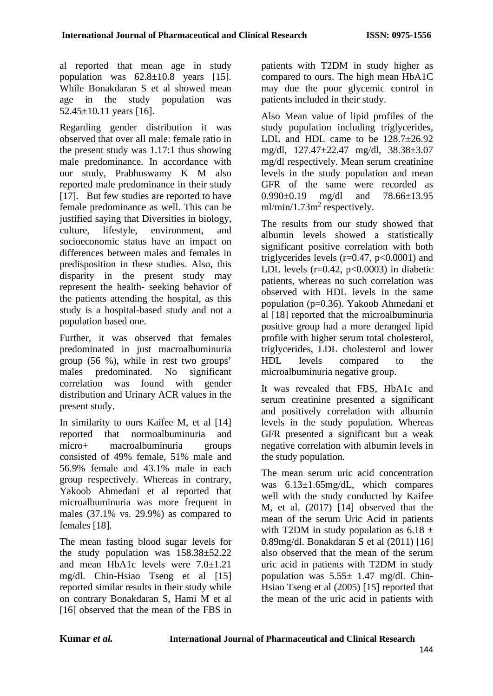al reported that mean age in study population was  $62.8 \pm 10.8$  years [15]. While Bonakdaran S et al showed mean age in the study population was  $52.45 \pm 10.11$  years [16].

Regarding gender distribution it was observed that over all male: female ratio in the present study was 1.17:1 thus showing male predominance. In accordance with our study, Prabhuswamy K M also reported male predominance in their study [17]. But few studies are reported to have female predominance as well. This can be justified saying that Diversities in biology, culture, lifestyle, environment, and socioeconomic status have an impact on differences between males and females in predisposition in these studies. Also, this disparity in the present study may represent the health- seeking behavior of the patients attending the hospital, as this study is a hospital-based study and not a population based one.

Further, it was observed that females predominated in just macroalbuminuria group (56 %), while in rest two groups' males predominated. No significant correlation was found with gender distribution and Urinary ACR values in the present study.

In similarity to ours Kaifee M, et al [14] reported that normoalbuminuria and micro+ macroalbuminuria groups consisted of 49% female, 51% male and 56.9% female and 43.1% male in each group respectively. Whereas in contrary, Yakoob Ahmedani et al reported that microalbuminuria was more frequent in males (37.1% vs. 29.9%) as compared to females [18].

The mean fasting blood sugar levels for the study population was 158.38±52.22 and mean HbA1c levels were 7.0±1.21 mg/dl. Chin-Hsiao Tseng et al [15] reported similar results in their study while on contrary Bonakdaran S, Hami M et al [16] observed that the mean of the FBS in patients with T2DM in study higher as compared to ours. The high mean HbA1C may due the poor glycemic control in patients included in their study.

Also Mean value of lipid profiles of the study population including triglycerides, LDL and HDL came to be  $128.7\pm26.92$ mg/dl, 127.47±22.47 mg/dl, 38.38±3.07 mg/dl respectively. Mean serum creatinine levels in the study population and mean GFR of the same were recorded as 0.990±0.19 mg/dl and 78.66±13.95  $ml/min/1.73m<sup>2</sup>$  respectively.

The results from our study showed that albumin levels showed a statistically significant positive correlation with both triglycerides levels  $(r=0.47, p<0.0001)$  and LDL levels ( $r=0.42$ ,  $p<0.0003$ ) in diabetic patients, whereas no such correlation was observed with HDL levels in the same population (p=0.36). Yakoob Ahmedani et al [18] reported that the microalbuminuria positive group had a more deranged lipid profile with higher serum total cholesterol, triglycerides, LDL cholesterol and lower HDL levels compared to the microalbuminuria negative group.

It was revealed that FBS, HbA1c and serum creatinine presented a significant and positively correlation with albumin levels in the study population. Whereas GFR presented a significant but a weak negative correlation with albumin levels in the study population.

The mean serum uric acid concentration was 6.13±1.65mg/dL, which compares well with the study conducted by Kaifee M, et al. (2017) [14] observed that the mean of the serum Uric Acid in patients with T2DM in study population as  $6.18 \pm$ 0.89mg/dl. Bonakdaran S et al (2011) [16] also observed that the mean of the serum uric acid in patients with T2DM in study population was  $5.55 \pm 1.47$  mg/dl. Chin-Hsiao Tseng et al (2005) [15] reported that the mean of the uric acid in patients with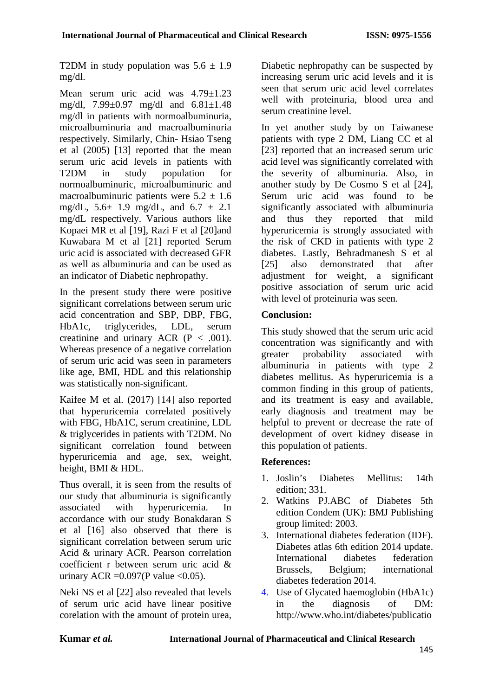T2DM in study population was  $5.6 \pm 1.9$ mg/dl.

Mean serum uric acid was 4.79±1.23 mg/dl, 7.99±0.97 mg/dl and 6.81±1.48 mg/dl in patients with normoalbuminuria, microalbuminuria and macroalbuminuria respectively. Similarly, Chin- Hsiao Tseng et al (2005) [13] reported that the mean serum uric acid levels in patients with T2DM in study population for normoalbuminuric, microalbuminuric and macroalbuminuric patients were  $5.2 \pm 1.6$ mg/dL,  $5.6 \pm 1.9$  mg/dL, and  $6.7 \pm 2.1$ mg/dL respectively. Various authors like Kopaei MR et al [19], Razi F et al [20]and Kuwabara M et al [21] reported Serum uric acid is associated with decreased GFR as well as albuminuria and can be used as an indicator of Diabetic nephropathy.

In the present study there were positive significant correlations between serum uric acid concentration and SBP, DBP, FBG, HbA1c, triglycerides, LDL, serum creatinine and urinary ACR  $(P < .001)$ . Whereas presence of a negative correlation of serum uric acid was seen in parameters like age, BMI, HDL and this relationship was statistically non-significant.

Kaifee M et al. (2017) [14] also reported that hyperuricemia correlated positively with FBG, HbA1C, serum creatinine, LDL & triglycerides in patients with T2DM. No significant correlation found between hyperuricemia and age, sex, weight, height, BMI & HDL.

Thus overall, it is seen from the results of our study that albuminuria is significantly associated with hyperuricemia. In accordance with our study Bonakdaran S et al [16] also observed that there is significant correlation between serum uric Acid & urinary ACR. Pearson correlation coefficient r between serum uric acid & urinary ACR =  $0.097$ (P value <  $0.05$ ).

Neki NS et al [22] also revealed that levels of serum uric acid have linear positive corelation with the amount of protein urea,

Diabetic nephropathy can be suspected by increasing serum uric acid levels and it is seen that serum uric acid level correlates well with proteinuria, blood urea and serum creatinine level.

In yet another study by on Taiwanese patients with type 2 DM, Liang CC et al [23] reported that an increased serum uric acid level was significantly correlated with the severity of albuminuria. Also, in another study by De Cosmo S et al [24], Serum uric acid was found to be significantly associated with albuminuria and thus they reported that mild hyperuricemia is strongly associated with the risk of CKD in patients with type 2 diabetes. Lastly, Behradmanesh S et al [25] also demonstrated that after adjustment for weight, a significant positive association of serum uric acid with level of proteinuria was seen.

# **Conclusion:**

This study showed that the serum uric acid concentration was significantly and with<br>greater probability associated with greater probability associated with albuminuria in patients with type 2 diabetes mellitus. As hyperuricemia is a common finding in this group of patients, and its treatment is easy and available, early diagnosis and treatment may be helpful to prevent or decrease the rate of development of overt kidney disease in this population of patients.

# **References:**

- 1. Joslin's Diabetes Mellitus: 14th edition; 331.
- 2. Watkins PJ.ABC of Diabetes 5th edition Condem (UK): BMJ Publishing group limited: 2003.
- 3. International diabetes federation (IDF). Diabetes atlas 6th edition 2014 update. International diabetes federation Brussels, Belgium; international diabetes federation 2014.
- 4. Use of Glycated haemoglobin (HbA1c) in the diagnosis of DM: [http://www.who.int/diabetes/publicatio](http://www.who.int/diabetes/publication/report-HbA1c2011.pdf)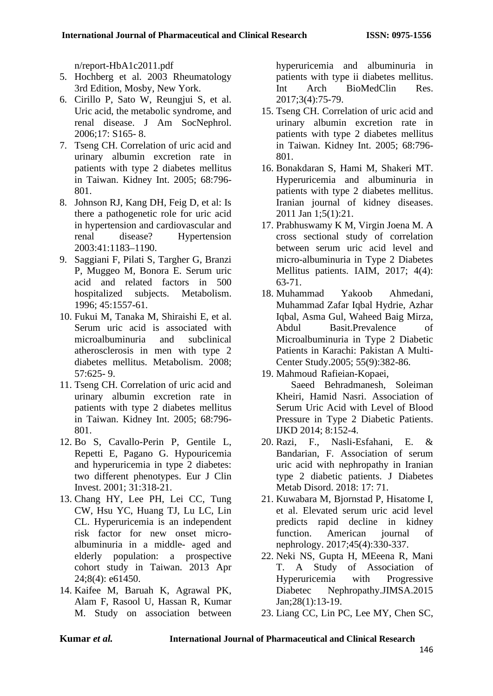[n/report-HbA1c2011.pdf](http://www.who.int/diabetes/publication/report-HbA1c2011.pdf)

- 5. Hochberg et al. 2003 Rheumatology 3rd Edition, Mosby, New York.
- 6. Cirillo P, Sato W, Reungjui S, et al. Uric acid, the metabolic syndrome, and renal disease. J Am SocNephrol. 2006;17: S165- 8.
- 7. Tseng CH. Correlation of uric acid and urinary albumin excretion rate in patients with type 2 diabetes mellitus in Taiwan. Kidney Int. 2005; 68:796- 801.
- 8. Johnson RJ, Kang DH, Feig D, et al: Is there a pathogenetic role for uric acid in hypertension and cardiovascular and renal disease? Hypertension 2003:41:1183–1190.
- 9. Saggiani F, Pilati S, Targher G, Branzi P, Muggeo M, Bonora E. Serum uric acid and related factors in 500 hospitalized subjects. Metabolism. 1996; 45:1557-61.
- 10. Fukui M, Tanaka M, Shiraishi E, et al. Serum uric acid is associated with microalbuminuria and subclinical atherosclerosis in men with type 2 diabetes mellitus. Metabolism. 2008; 57:625- 9.
- 11. Tseng CH. Correlation of uric acid and urinary albumin excretion rate in patients with type 2 diabetes mellitus in Taiwan. Kidney Int. 2005; 68:796- 801.
- 12. Bo S, Cavallo-Perin P, Gentile L, Repetti E, Pagano G. Hypouricemia and hyperuricemia in type 2 diabetes: two different phenotypes. Eur J Clin Invest. 2001; 31:318-21.
- 13. Chang HY, Lee PH, Lei CC, Tung CW, Hsu YC, Huang TJ, Lu LC, Lin CL. Hyperuricemia is an independent risk factor for new onset microalbuminuria in a middle- aged and elderly population: a prospective cohort study in Taiwan. 2013 Apr 24;8(4): e61450.
- 14. Kaifee M, Baruah K, Agrawal PK, Alam F, Rasool U, Hassan R, Kumar M. Study on association between

hyperuricemia and albuminuria in patients with type ii diabetes mellitus. Int Arch BioMedClin Res. 2017;3(4):75-79.

- 15. Tseng CH. Correlation of uric acid and urinary albumin excretion rate in patients with type 2 diabetes mellitus in Taiwan. Kidney Int. 2005; 68:796- 801.
- 16. Bonakdaran S, Hami M, Shakeri MT. Hyperuricemia and albuminuria in patients with type 2 diabetes mellitus. Iranian journal of kidney diseases. 2011 Jan 1;5(1):21.
- 17. Prabhuswamy K M, Virgin Joena M. A cross sectional study of correlation between serum uric acid level and micro-albuminuria in Type 2 Diabetes Mellitus patients. IAIM, 2017; 4(4): 63-71.
- 18. Muhammad Yakoob Ahmedani, Muhammad Zafar Iqbal Hydrie, Azhar Iqbal, Asma Gul, Waheed Baig Mirza, Abdul Basit.Prevalence of Microalbuminuria in Type 2 Diabetic Patients in Karachi: Pakistan A Multi-Center Study.2005; 55(9):382-86.
- 19. Mahmoud Rafieian-Kopaei, Saeed Behradmanesh, Soleiman Kheiri, Hamid Nasri. Association of Serum Uric Acid with Level of Blood Pressure in Type 2 Diabetic Patients. IJKD 2014; 8:152-4.
- 20. Razi, F., Nasli-Esfahani, E. & Bandarian, F. Association of serum uric acid with nephropathy in Iranian type 2 diabetic patients. J Diabetes Metab Disord. 2018: 17: 71.
- 21. Kuwabara M, Bjornstad P, Hisatome I, et al. Elevated serum uric acid level predicts rapid decline in kidney function. American journal of nephrology. 2017;45(4):330-337.
- 22. Neki NS, Gupta H, MEeena R, Mani T. A Study of Association of Hyperuricemia with Progressive Diabetec Nephropathy.JIMSA.2015 Jan;28(1):13-19.
- 23. Liang CC, Lin PC, Lee MY, Chen SC,